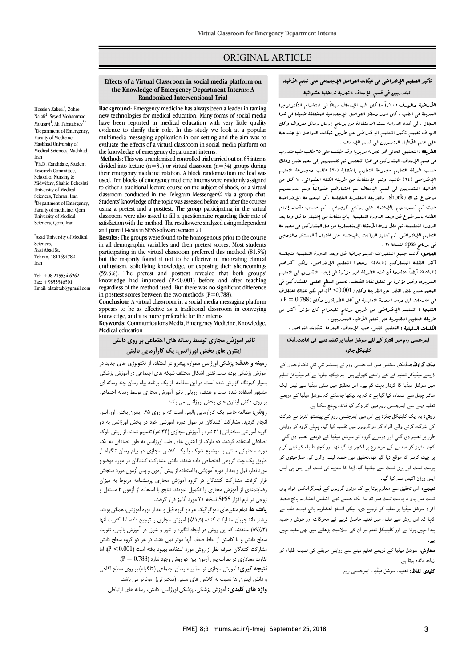## ORIGINAL ARTICLE

# تأثیر التعلیم الإفتراضی فی شبکات التواصل الإجتماعی على تعلم الأطباء المتدربین فی قسم الإسعاف : تجربۀ تداخلیۀ عشوائیۀ

 $\overline{\phantom{0}}$ 

**الأرضیۀ والردف :** دائماً ما کان طب الإسعاف سلطاً فی استخدام التکنولوجیا<br>« - دور الله التکن که التکن التکنیک التکنیک التکنیک التکنیک التکنیک التکنیک المجال . فی هذه الدراسة تمت الله تمت فی مستقبل .<br>البجال . فی هذه الدراسة تمت الإستفادة من برنامج إرسال رسائل معروف وکان الهدف تقییم تأثیر التعلیم الإفتراضی عن طریق شبکات التواصل الإجتماعیۀ على علم الأطباء المتدربین فی قسم الإسعاف . الحدیثۀ فی الطب . کان دور وسائل التواصل الإجتماعیۀ المختلفۀ ضعیفاً فی هذا

**الطریقۀ :** التحقیق الحالی هو تجربۀ سریریۀ وقد طبقت علی 10 طالب طب متدرب<br>. حق علیم کیست مستقدس کی سے مستویم بالاعظامۂ (71) طالب ومجموعۀ التعلیم<br>مسب طریقۀ التعلیم مجموعۀ التعلیم بالخطابۀ (11) طالب ومجموعۀ التعلیم الإفتراضی (34) طالب. وتم الإستفادة من طریقۀ الکتلۀ العشوائی. 10 کتل من الأطباء المتدربین فی قسم الإسعاف تم اختیارهم عشوائیاً وتم تدریسهم موضوع شوك (shock (بالطریقۀ التقلیدیۀ الخطابیۀ ،أو المجموعۀ الإفتراضیۀ الیف علم الفویستهم الجانویستان علمی ایورانچ الفیدی بالاستفادة من استانیا استفاده من المالیفید<br>الطلبۀ بالبوضوع قبل وبعد الدورة التعلیمیۀ ابالإستفادة من إختبار ما قبل وما بعد الدورة التعلیمیۀ. تم ملأ ورقۀ الأسئلۀ الإستفساریۀ من قبل المشارکین فی مجموعۀ التعلیم الإفتراضی. تم تحلیل البیانات بالإعتماد على اختبار t المستقل والزوجی فی برنامج spss النسخۀ 21 . فی قسم الإسعاف. المشارکین فی هذا التحقیق تم تقسیمهم إلى مجموعتین وذلک حیث تم تدریسهم بالإعتماد على برنامج تلیجرام . تم حساب مقدار إلمام

 أکثر الطلبۀ المشارکین (81,5)% رجحوا التعلیم الإفتراضی، ولکن أکثرهم (59,3)% أیضاً اعتقدوا أن هذه الطریقۀ غیر مؤثرة فی إیجاد التشویق فی التعلیم السریري وغیر مؤثرة فی تقلیل نقاط الضعف. تحسن السطح العلمی للمشارکین فی المجموعتین بغض النظر عن الطریقۀ وکان (0.001> P(؛ لم یکن هناك اختلاف <sub>می</sub> حرکتاب جن دیستا الدورد التنتیبیت <sub>می</sub> کند الفریقیین و مال (۱۳۵۰ - ۱۳۰۰)<br>**النتیجۀ :** التعلیم الإفتراضی عن طریق برنامج تلیجرام کان مؤثراً أکثر من طریقۀ التعلیم التقلیدیۀ على تعلم الأطباء المتدربین . الحاصل: کانت جمیع المتغیرات الدیموجرافیۀ قبل وبعد الدورة التعلیمیۀ متجانسۀ فی علامات قبل وبعد الدورة التعلیمیۀ فی کلا الطریقتین وکان (0.788 = P(.

الکلمات الدلیلیۀ : التعلیم الطبی، طب الإسعاف، المعرفۀ ،شبکات التواصل .

#### ایمرجنسی روم میں انٹرنز کے لئے سوشل میڈیا پر تعلیم دینے کی افادیت۔ایک كلينيكل جائزہ

**یک گراونڈ:**میڈیکل سائنس میں ایمرجنسی روم نے ہمیشہ نئي نئي ٹکنالوجیوں کے ذریعے میڈیکل تعلیم کے لئے راستے کھولے ہیں۔ یہ دیکھا جارہا ہے کہ میڈیکل تعلیم میں سوشل میڈیا کا کردار بہت کم ہے۔ اس تحقیق میں ملٹی میڈیا سے لیس ایک سائبر چینل سے استفادہ کیا گیا ہے تا کہ یہ دیکھا جاسکے کہ سوشل میڈیا کے ذریعے نعلیم دینے سے ایمرجنسی روم میں انٹرنزکو کیا فائدہ پہنچ سکتا ہے۔<br>.

**روش:** یہ ایک کلینیکل جائزہ ہے اس میں ایمرجنسی روم کے پینسٹھ انٹرنز نے شرکت<br>مصدر کے مطابق اس اور ایک مصر سی سرے عربے رہے ہوں کو در عربوں سے حسیم ہے ہے جہاں عرب عو رزیمی<br>طرز پر تعلیم دی گئي اور دوسرے گروہ کو سوشل میڈیا کے ذریعے تعلیم دی گئي۔ ۔ دورہ کے اس کے لیے معاملے کے مطابق کے اس کے اس کے اس کے اس کے اس کے اس کے اس کے اس کے دورہ کرنے کر امر دورہ ک<br>کچھ انٹرنز کو صدمے کے موضوع پر لکچر دیا گیا تھا اور کچھ طلباء کو ٹیلی گرام بر چیٹ کرنے کا موقع دیا گیا تھا۔تحقیق میں حصہ لینے والوں ک*ی ص*لاحیتوں کو <sub>ب</sub>وسٹ ٹسٹ اور پری ٹسٹ سے جانچا گیا،ڈیٹا کا تجزیہ ٹی ٹسٹ اور ایس پی ایس ایس ورژن اکیس سے کیا گیا۔ کی۔شرکت کرنے والے افراد کو دو گروہوں میں تقسیم کیا گیا، پہلے گروہ کو روایتی

**نتیجے:** اس تحقیق سے معلوم ہوتا ہے کہ دونوں گروہوں کے ڈیموگرافکس خواہ پری نسٹ میں ہوں یا پوسٹ ٹسٹ میں تقریبا ایک جیسے تھے۔اکیاسی اعشاریہ پانچ فیصد افراد سوشل میڈیا پر تعلیم کو ترجیح دی، لیکن انسٹھ اعشاریہ پانچ فیصد طلبا نے<br>. ʻ. یبدا نہیں ہوتا ہے اور کلینیکل تعلم نیز ان کی صلاحیت بڑھانے میں بھی مفید نہیں<br>۔ کہا کہ اس روش سے طلباء میں تعلیم حاصل کرنے کے محرکات اور جوش و جذبہ ۔

۔<br>**سفارش:** سوشل میڈیا کے ذریعے تعلیم دینے سے روایتی طریقے کی نسبت طلباء کو زیادہ فائدہ ہوتا ہے۔

**کلیدی الفاظ:** تعلیم، سوشل میڈیا، ایمرجنسی روم۔

#### **Effects of a Virtual Classroom in social media platform on Randomized Interventional Trial the Knowledge of Emergency Department Interns: A**

Ī 

 **Background:** Emergency medicine has always been a leader in taming have been reported in medical education. Many forms of social media<br>have been reported in medical education with very little quality evidence to clarify their role. In this study we look at a popular evaluate the effects of a virtual classroom in social media platform on the knowledge of emergency department interns.<br>Methode: This was a rendemized controlled trial co new technologies for medical education. Many forms of social media multimedia messaging application in our setting and the aim was to

divided into lecture  $(n=31)$  or virtual classroom  $(n=34)$  groups during usen emergency medicine rotation. A block randomization includer was<br>used. Ten blocks of emergency medicine interns were randomly assigned to either a traditional lecture course on the subject of shock, or a virtual Students' knowledge of the topic was assessed before and after the courses using a pretest and a posttest. The group participating in the virtual<br>classroom were also asked to fill a questionnaire regarding their rate of satisfaction with the method. The results were analyzed using independent **Methods:** This was a randomized controlled trial carried out on 65 interns their emergency medicine rotation. A block randomization method was classroom conducted in the Telegram Messenger© via a group chat. classroom were also asked to fill a questionnaire regarding their rate of and paired t-tests in SPSS software version 21.

 **Results:** The groups were found to be homogenous prior to the course in all demographic variables and their pretest scores. Most students but the majority found it not to be effective in motivating clinical (59.3%). The pretest and posttest revealed that both groups' knowledge had improved (P<0.001) before and after teaching in posttest scores between the two methods  $(P=0.788)$ . participating in the virtual classroom preferred this method (81.5%) enthusiasm, solidifying knowledge, or exposing their shortcomings regardless of the method used. But there was no significant difference

 **Conclusion:** A virtual classroom in a social media messaging platform knowledge, and it is more preferable for the interns. appears to be as effective as a traditional classroom in conveying

 **Keywords:** Communications Media, Emergency Medicine, Knowledge, Medical education

 **تاثیر آموزش مجازي توسط رسانه هاي اجتماعی بر روي دانش اینترن هاي بخش اورژانس: یک کارآزمایی بالینی**

 **زمینه و هدف:** پزشکی اورژانس همواره پیشرو در استفاده از تکنولوژي هاي جدید در آموزش پزشکی بوده است. نقش اشکال مختلف شبکه هاي اجتماعی در آموزش پزشکی بسیار کمرنگ گزارش شده است. در این مطالعه از یک برنامه پیام رسان چند رسانه اي مسهور استفاده سده است و هدت، ارزیابی بایر امو<br>بر روی دانش اینترن های بخش اورژانس می باشد. مشهور استفاده شده است و هدف، ارزیابی تاثیر آموزش مجازي توسط رسانه اجتماعی

 **روش:** مطالعه حاضر یک کارآزمایی بالینی است که بر روي 65 اینترن بخش اورژانس انجام گردید. مشارکت کنندگان در طول دوره آموزشی خود در بخش اورژانس به دو گروه آموزشی سخنرانی (31 نفر) و آموزش مجازي (34 نفر) تقسیم شدند. از روش بلوك تصادفی استفاده گردید. ده بلوك از اینترن هاي طب اورژانس به طور تصادفی به یک دوره سخنرانی سنتی با موضوع شوک یا یک کلاس مجازی در پیام رسان تلگرام از<br>. عربی یت پت بورهی استفاض داده شدند. دانش مسار بت تقسامان در مورد موضوع<br>مورد نظر، قبل و بعد از دوره آموزشی با استفاده از پیش آزمون و پس آزمون مورد سنجش قرار گرفت. مشارکت کنندگان در گروه آموزش مجازي پرسشنامه مربوط به میزان رضایتمندي از آموزش مجازي را تکمیل نمودند. نتایج با استفاده از آزمون t مستقل و زوجی در نرم افزار SPSS نسخه 21 مورد آنالیز قرار گرفت. طریق یک چت گروهی اختصاص داده شدند. دانش مشارکت کنندگان در مورد موضوع

 **یافته ها**: تمام متغیرهاي دموگرافیک هر دو گروه قبل و بعد از دوره آموزشی، همگن بودند. بیشتر دانشجویان مشارکت کننده (۱۸٫۵٪) آموزش مجازی را ترجیح داده، اما اکثریت آنها<br>سنیست ر ۱٬۰۰٬۰۰۱ سنستند که این روس در ایجاد امیره و سور و سون در امورس باییی، سویت<br>سطح دانش و یا کاستن از نقاط ضعف آنها موثر نمی باشد. در هر دو گروه سطح دانش مشارکت کنندگان صرف نظر از روش مورد استفاده، بهبود یافته است (0.001> P(؛ اما تفاوت معناداري در نمرات پس آزمون بین دو روش وجود ندارد (0.788 = P(. **نتیجه گیري:** آموزش مجازي توسط پیام رسان اجتماعی ( تلگرام) بر روي سطح آگاهی و دانش اینترن ها نسبت به کلاس هاي سنتی (سخنرانی) موثرتر می باشد. **واژه هاي کلیدي:** آموزش پزشکی، پزشکی اورژانس، دانش، رسانه هاي ارتباطی (59٪/3) معتقدند که این روش در ایجاد انگیزه و شور و شوق در آموزش بالینی، تقویت

Hossien Zakeri<sup>1</sup>, Zohre Najafi<sup>2</sup>, Seyed Mohammad Mousavi<sup>1</sup>, Ali Tabatabaey<sup>3\*</sup> <sup>1</sup>Department of Emergency, Faculty of Medicine, Mashhad University of Medical Sciences, Mashhad, Iran <sup>2</sup>Ph.D. Candidate, Student Research Committee, School of Nursing & Midwifery, Shahid Beheshti University of Medical Sciences, Tehran, Iran <sup>3</sup>Department of Emergency, Faculty of medicine, Qom University of Medical Sciences, Qom, Iran

\* Azad University of Medical Sciences, Nazi Abad St. Tehran, 1811694782 Iran

Tel: +98 215534 6262  $Fax \cdot +9855346301$ Email: alitabtab@gmail.com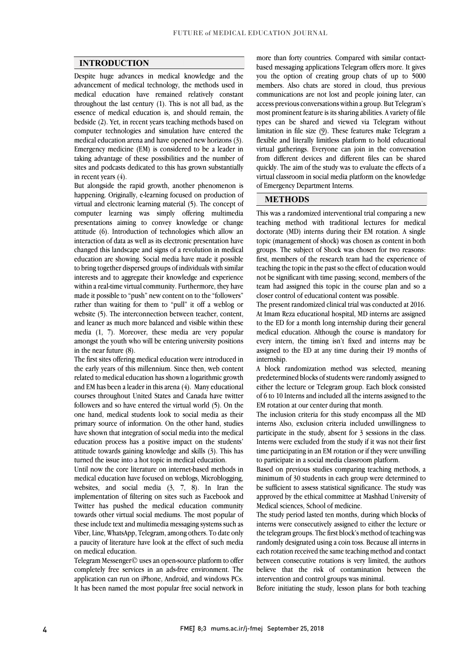#### **INTRODUCTION**

 Despite huge advances in medical knowledge and the advancement of medical technology, the methods used in medical education have remained relatively constant  $\mu$  essence of medical education is, and should remain, the bedside (2). Yet, in recent years teaching methods based on computer technologies and simulation have entered the medical education arena and have opened new horizons (3). taking advantage of these possibilities and the number of sites and podcasts dedicated to this has grown substantially throughout the last century (1). This is not all bad, as the Emergency medicine (EM) is considered to be a leader in in recent years (4).

 But alongside the rapid growth, another phenomenon is virtual and electronic learning material (5). The concept of computer learning was simply offering multimedia presentations aiming to convey knowledge or change attitude (6). Introduction of technologies which allow an changed this landscape and signs of a revolution in medical education are showing. Social media have made it possible to bring together dispersed groups of individuals with similar interests and to aggregate their knowledge and experience made it possible to "push" new content on to the "followers" rather than waiting for them to "pull" it off a weblog or website (5). The interconnection between teacher, content, media (1, 7). Moreover, these media are very popular amongst the youth who will be entering university positions happening. Originally, e-learning focused on production of interaction of data as well as its electronic presentation have within a real-time virtual community. Furthermore, they have and leaner as much more balanced and visible within these in the near future (8).

 The first sites offering medical education were introduced in related to medical education has shown a logarithmic growth and EM has been a leader in this arena (4). Many educational courses throughout United States and Canada have twitter followers and so have entered the virtual world (5). On the primary source of information. On the other hand, studies have shown that integration of social media into the medical education process has a positive impact on the students' attitude towards gaining knowledge and skills (3). This has the early years of this millennium. Since then, web content one hand, medical students look to social media as their turned the issue into a hot topic in medical education.

Until now the core literature on internet-based methods in medical education have focused on weblogs, Microblogging, websites, and social media (3, 7, 8). In Iran the implementation of filtering on sites such as Facebook and towards other virtual social mediums. The most popular of these include text and multimedia messaging systems such as Viber, Line, WhatsApp, Telegram, among others. To date only a paucity of literature have look at the effect of such media Twitter has pushed the medical education community on medical education.

 Telegram Messenger© uses an open-source platform to offer completely free services in an ads-free environment. The application can run on iPhone, Android, and windows PCs. It has been named the most popular free social network in

 based messaging applications Telegram offers more. It gives you the option of creating group chats of up to 5000 members. Also chats are stored in cloud, thus previous communications are not lost and people joining later, can most prominent feature is its sharing abilities. A variety of file types can be shared and viewed via Telegram without limitation in file size (9). These features make Telegram a flexible and literally limitless platform to hold educational from different devices and different files can be shared quickly. The aim of the study was to evaluate the effects of a virtual classroom in social media platform on the knowledge  $\overline{a}$ more than forty countries. Compared with similar contactaccess previous conversations within a group. But Telegram's virtual gatherings. Everyone can join in the conversation of Emergency Department Interns.

### **METHODS**

 This was a randomized interventional trial comparing a new teaching method with traditional lectures for medical topic (management of shock) was chosen as content in both groups. The subject of Shock was chosen for two reasons: first, members of the research team had the experience of teaching the topic in the past so the effect of education would team had assigned this topic in the course plan and so a doctorate (MD) interns during their EM rotation. A single not be significant with time passing; second, members of the closer control of educational content was possible.

 The present randomized clinical trial was conducted at 2016. At Imam Reza educational hospital, MD interns are assigned medical education. Although the course is mandatory for every intern, the timing isn't fixed and interns may be assigned to the ED at any time during their 19 months of to the ED for a month long internship during their general internship.

internsnip.<br>A block randomization method was selected, meaning predetermined blocks of students were randomly assigned to either the lecture or Telegram group. Each block consisted of 6 to 10 Interns and included all the interns assigned to the EM rotation at our center during that month.

 The inclusion criteria for this study encompass all the MD interns Also, exclusion criteria included unwillingness to participate in the study, absent for 3 sessions in the class. Interns were excluded from the study if it was not their first time participating in an EM rotation or if they were unwilling<br>to noticipate in a social modia also research platform to participate in a social media classroom platform.

Based on previous studies comparing teaching methods, a minimum of 30 students in each group were determined to be sufficient to assess statistical significance. The study was approved by the ethical committee at Mashhad University of Medical coinners. Sebool of medicine Medical sciences, School of medicine.

 The study period lasted ten months, during which blocks of interns were consecutively assigned to either the lecture or the telegram groups. The first block's method of teaching was each rotation received the same teaching method and contact between consecutive rotations is very limited, the authors believe that the risk of contamination between the randomly designated using a coin toss. Because all interns in intervention and control groups was minimal.

Before initiating the study, lesson plans for both teaching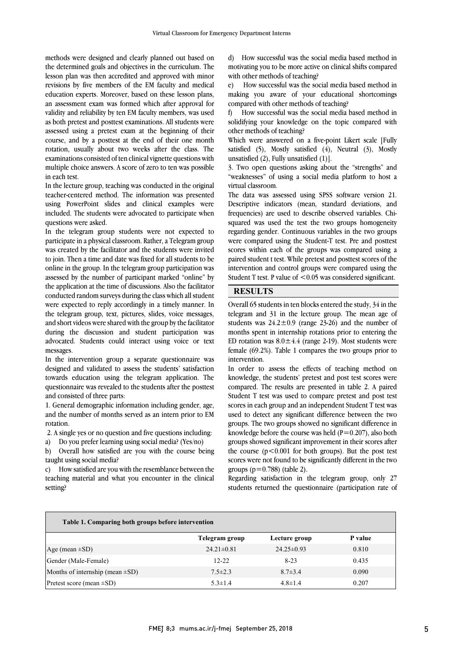the determined goals and objectives in the curriculum. The lesson plan was then accredited and approved with minor revisions by five members of the EM faculty and medical education experts. Moreover, based on these lesson plans, an assessment exam was formed winen and approval for<br>validity and reliability by ten EM faculty members, was used as both pretest and posttest examinations. All students were assessed using a pretest exam at the beginning of their course, and by a posttest at the end of their one month examinations consisted of ten clinical vignette questions with multiple choice answers. A score of zero to ten was possible methods were designed and clearly planned out based on an assessment exam was formed which after approval for rotation, usually about two weeks after the class. The in each test.

 In the lecture group, teaching was conducted in the original using PowerPoint slides and clinical examples were included. The students were advocated to participate when teacher-centered method. The information was presented questions were asked.

in the telegram group students were not expected to<br>participate in a physical classroom. Rather, a Telegram group participate in a physical elastroom, names, a rengiam group to join. Then a time and date was fixed for all students to be online in the group. In the telegram group participation was assessed by the number of participant marked "online" by<br>the application at the time of discussions, Also the feelitated conducted random surveys during the class which all student were expected to reply accordingly in a timely manner. In the telegram group, text, pictures, slides, voice messages, during the discussion and student participation was advocated. Students could interact using voice or text In the telegram group students were not expected to the application at the time of discussions. Also the facilitator and short videos were shared with the group by the facilitator messages.

 In the intervention group a separate questionnaire was towards education using the telegram application. The questionnaire was revealed to the students after the posttest designed and validated to assess the students' satisfaction and consisted of three parts:

 1. General demographic information including gender, age, and the number of months served as an intern prior to EM rotation.

2. A single yes or no question and five questions including:

a) Do you prefer learning using social media? (Yes/no)

 b) Overall how satisfied are you with the course being taught using social media?

 c) How satisfied are you with the resemblance between the teaching material and what you encounter in the clinical setting?

 motivating you to be more active on clinical shifts compared d) How successful was the social media based method in with other methods of teaching?

 e) How successful was the social media based method in making you aware of your educational shortcomings compared with other methods of teaching?

 solidifying your knowledge on the topic compared with f) How successful was the social media based method in other methods of teaching?

Which were answered on a five-point Likert scale [Fully  $\mathbb{R}^3$ ] satisfied (5), Mostly satisfied (4), Neutral (3), Mostly<br>unsatisfied (2) Fully-unsatisfied (1) unsatisfied (2), Fully unsatisfied (1)].

 3. Two open questions asking about the "strengths" and "weaknesses" of using a social media platform to host a virtual classroom.

virtual classroom.<br>The data was assessed using SPSS software version 21. Descriptive indicators (mean, standard deviations, and frequencies) are used to describe observed variables. Chi- squared was used the test the two groups homogeneity were compared using the Student-T test. Pre and posttest scores within each of the groups was compared using a paired student t test. While pretest and posttest scores of the intervention and control groups were compared using the Student T test. P value of <0.05 was considered significant. regarding gender. Continuous variables in the two groups

## **RESULTS**

 Overall 65 students in ten blocks entered the study, 34 in the telegram and 31 in the lecture group. The mean age of months spent in internship rotations prior to entering the ED rotation was  $8.0 \pm 4.4$  (range 2-19). Most students were female (69.2%). Table 1 compares the two groups prior to students was  $24.2 \pm 0.9$  (range 23-26) and the number of intervention.

 $\overline{a}$ 

intervention.<br>In order to assess the effects of teaching method on knowledge, the students' pretest and post test scores were compared. The results are presented in table 2. A paired Student T test was used to compare pretest and post test scores in each group and an independent student T test was<br>used to detect any significant difference between the two groups. The two groups showed no significant difference in knowledge before the course was held  $(P=0.207)$ , also both groups showed significant improvement in their scores after the course  $(p<0.001$  for both groups). But the post test scores in each group and an independent Student T test was scores were not found to be significantly different in the two groups  $(p=0.788)$  (table 2).

 Regarding satisfaction in the telegram group, only 27 students returned the questionnaire (participation rate of

| Table 1. Comparing both groups before intervention |                  |                  |         |
|----------------------------------------------------|------------------|------------------|---------|
|                                                    | Telegram group   | Lecture group    | P value |
| Age (mean $\pm SD$ )                               | $24.21 \pm 0.81$ | $24.25 \pm 0.93$ | 0.810   |
| Gender (Male-Female)                               | $12 - 22$        | $8 - 23$         | 0.435   |
| Months of internship (mean $\pm SD$ )              | $7.5 \pm 2.3$    | $8.7 \pm 3.4$    | 0.090   |
| Pretest score (mean $\pm SD$ )                     | $5.3 \pm 1.4$    | $4.8 \pm 1.4$    | 0.207   |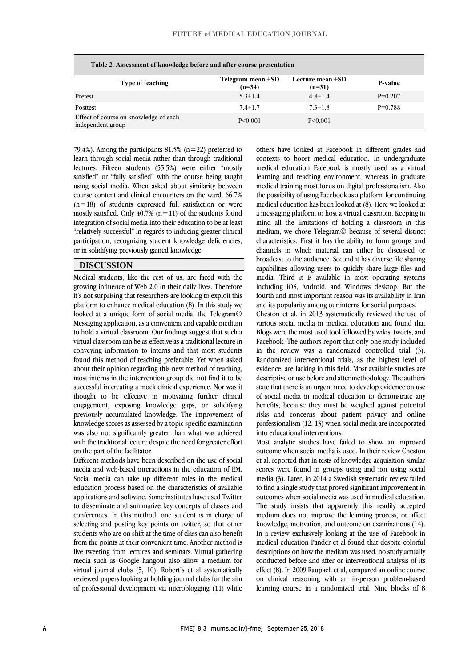| Table 2. Assessment of knowledge before and after course presentation |                                    |                                   |           |  |
|-----------------------------------------------------------------------|------------------------------------|-----------------------------------|-----------|--|
| Type of teaching                                                      | Telegram mean $\pm SD$<br>$(n=34)$ | Lecture mean $\pm SD$<br>$(n=31)$ | P-value   |  |
| Pretest                                                               | $5.3 \pm 1.4$                      | $4.8 \pm 1.4$                     | $P=0.207$ |  |
| Posttest                                                              | $7.4 \pm 1.7$                      | $7.3 \pm 1.8$                     | $P=0.788$ |  |
| Effect of course on knowledge of each<br>independent group            | P < 0.001                          | P < 0.001                         |           |  |

 $\overline{a}$ 

 $\left(1, 2, 3, 6\right)$ . Alliong the participatities  $(1, 3, 6)$  ( $(1, -22)$  preferred to learn through social media rather than through traditional lectures. Fifteen students (55.5%) were either "mostly satisfied" or "fully satisfied" with the course being taught using social media. When asked about similarity between  $(n=18)$  of students expressed full satisfaction or were mostly satisfied. Only  $40.7\%$  (n=11) of the students found integration of social media into their education to be at least "relatively successful" in regards to inducing greater clinical participation, recognizing student knowledge deficiencies,<br>or in solidifying previously gained knowledge -79.4%). Among the participants  $81.5\%$  (n=22) preferred to course content and clinical encounters on the ward, 66.7% or in solidifying previously gained knowledge.

## **DISCUSSION**

Medical students, like the rest of us, are faced with the reservoir influence  $\mathbb{E}$  it's not surprising that researchers are looking to exploit this platform to enhance medical education (8). In this study we looked at a unique form of social media, the Telegram© to hold a virtual classroom. Our findings suggest that such a virtual classroom can be as effective as a traditional lecture in conveying information to interns and that most students found this method of teaching preferable. Yet when asked about their opinion regarding this new include of teaching,<br>most interns in the intervention group did not find it to be successful in creating a mock clinical experience. Nor was it thought to be effective in motivating further clinical engagement, exposing knowledge gaps, or solidifying knowledge scores as assessed by a topic-specific examination was also not significantly greater than what was achieved with the traditional lecture despite the need for greater effort growing influence of Web 2.0 in their daily lives. Therefore Messaging application, as a convenient and capable medium about their opinion regarding this new method of teaching, previously accumulated knowledge. The improvement of on the part of the facilitator.

on the part of the facilitator.<br>Different methods have been described on the use of social media and web-based interactions in the education of EM. Social media can take up different roles in the medical education process based on the characteristics of available applications and software. Some institutes have used Twitter conferences. In this method, one student is in charge of selecting and posting key points on twitter, so that other students who are on shift at the time of class can also benefit live tweeting from lectures and seminars. Virtual gathering media such as Google hangout also allow a medium for virtual journal clubs (5, 10). Robert's et al systematically reviewed papers looking at holding journal clubs for the aim of professional development via microblogging (11) while to disseminate and summarize key concepts of classes and from the points at their convenient time. Another method is

 $\overline{a}$  contexts to boost medical education. In undergraduate medical education Facebook is mostly used as a virtual learning and teaching environment, whereas in graduate medical training most focus on digital professionalism. Also medical education has been looked at (8). Here we looked at a messaging platform to host a virtual classroom. Keeping in mind all the limitations of holding a classroom in this medium, we chose Telegram© because of several distinct channels in which material can either be discussed or broadcast to the audience. Second it has diverse file sharing capabilities allowing users to quickly share large files and media. Third it is available in most operating systems fourth and most important reason was its availability in Iran others have looked at Facebook in different grades and the possibility of using Facebook as a platform for continuing characteristics. First it has the ability to form groups and including iOS, Android, and Windows desktop. But the and its popularity among our interns for social purposes.

 Cheston et al. in 2013 systematically reviewed the use of various social media in medical education and found that<br>Blogs were the most used tool followed by wikis, tweets, and Facebook. The authors report that only one study included in the review was a randomized controlled trial (3). Randomized interventional trials, as the highest level of descriptive or use before and after methodology. The authors state that there is an urgent need to develop evidence on use of social media in medical education to demonstrate any benefits; because they must be weighed against potential professionalism (12, 13) when social media are incorporated various social media in medical education and found that evidence, are lacking in this field. Most available studies are risks and concerns about patient privacy and online into educational interventions.

 Most analytic studies have failed to show an improved outcome when social media is used. In their review Cheston scores were found in groups using and not using social media (3). Later, in 2014 a Swedish systematic review failed to find a single study that proved significant improvement in outcomes when social media was used in medical education. medium does not improve the learning process, or affect knowledge, motivation, and outcome on examinations (14). In a review exclusively looking at the use of Facebook in descriptions on how the medium was used, no study actually conducted before and after or interventional analysis of its effect (8). In 2009 Raupach et al, compared an online course on clinical reasoning with an in-person problem-based learning course in a randomized trial. Nine blocks of 8 et al. reported that in tests of knowledge acquisition similar The study insists that apparently this readily accepted medical education Pander et al found that despite colorful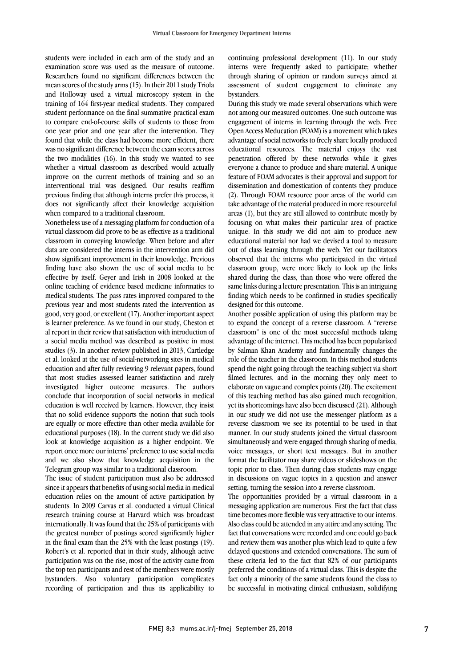students were included in each arm of the study and an examination score was used as the measure of outcome. Researchers found no significant differences between the mean scores of the study arms (15). In their 2011 study Triola and Holloway used a virtual microscopy system in the training of 164 first-year medical students. They compared student performance on the final summative practical exam to compare end-of-course skills of students to those from one year prior and one year after the intervention. They found that while the class had become more efficient, there was no significant difference between the exam scores across the two modalities (16). In this study we wanted to see whether a virtual classroom as described would actually improve on the current methods of training and so an interventional trial was designed. Our results reaffirm previous finding that although interns prefer this process, it does not significantly affect their knowledge acquisition when compared to a traditional classroom.

Nonetheless use of a messaging platform for conduction of a virtual classroom did prove to be as effective as a traditional classroom in conveying knowledge. When before and after data are considered the interns in the intervention arm did show significant improvement in their knowledge. Previous finding have also shown the use of social media to be effective by itself. Geyer and Irish in 2008 looked at the online teaching of evidence based medicine informatics to medical students. The pass rates improved compared to the previous year and most students rated the intervention as good, very good, or excellent (17). Another important aspect is learner preference. As we found in our study, Cheston et al report in their review that satisfaction with introduction of a social media method was described as positive in most studies (3). In another review published in 2013, Cartledge et al. looked at the use of social-networking sites in medical education and after fully reviewing 9 relevant papers, found that most studies assessed learner satisfaction and rarely investigated higher outcome measures. The authors conclude that incorporation of social networks in medical education is well received by learners. However, they insist that no solid evidence supports the notion that such tools are equally or more effective than other media available for educational purposes (18). In the current study we did also look at knowledge acquisition as a higher endpoint. We report once more our interns' preference to use social media and we also show that knowledge acquisition in the Telegram group was similar to a traditional classroom.

The issue of student participation must also be addressed since it appears that benefits of using social media in medical education relies on the amount of active participation by students. In 2009 Carvas et al. conducted a virtual Clinical research training course at Harvard which was broadcast internationally. It was found that the 25% of participants with the greatest number of postings scored significantly higher in the final exam than the 25% with the least postings (19). Robert's et al. reported that in their study, although active participation was on the rise, most of the activity came from the top ten participants and rest of the members were mostly bystanders. Also voluntary participation complicates recording of participation and thus its applicability to

continuing professional development (11). In our study interns were frequently asked to participate; whether through sharing of opinion or random surveys aimed at assessment of student engagement to eliminate any bystanders.

During this study we made several observations which were not among our measured outcomes. One such outcome was engagement of interns in learning through the web. Free Open Access Meducation (FOAM) is a movement which takes advantage of social networks to freely share locally produced educational resources. The material enjoys the vast penetration offered by these networks while it gives everyone a chance to produce and share material. A unique feature of FOAM advocates is their approval and support for dissemination and domestication of contents they produce (2). Through FOAM resource poor areas of the world can take advantage of the material produced in more resourceful areas (1), but they are still allowed to contribute mostly by focusing on what makes their particular area of practice unique. In this study we did not aim to produce new educational material nor had we devised a tool to measure out of class learning through the web. Yet our facilitators observed that the interns who participated in the virtual classroom group, were more likely to look up the links shared during the class, than those who were offered the same links during a lecture presentation. This is an intriguing finding which needs to be confirmed in studies specifically designed for this outcome.

Another possible application of using this platform may be to expand the concept of a reverse classroom. A "reverse classroom" is one of the most successful methods taking advantage of the internet. This method has been popularized by Salman Khan Academy and fundamentally changes the role of the teacher in the classroom. In this method students spend the night going through the teaching subject via short filmed lectures, and in the morning they only meet to elaborate on vague and complex points (20). The excitement of this teaching method has also gained much recognition, yet its shortcomings have also been discussed (21). Although in our study we did not use the messenger platform as a reverse classroom we see its potential to be used in that manner. In our study students joined the virtual classroom simultaneously and were engaged through sharing of media, voice messages, or short text messages. But in another format the facilitator may share videos or slideshows on the topic prior to class. Then during class students may engage in discussions on vague topics in a question and answer setting, turning the session into a reverse classroom.

The opportunities provided by a virtual classroom in a messaging application are numerous. First the fact that class time becomes more flexible was very attractive to our interns. Also class could be attended in any attire and any setting. The fact that conversations were recorded and one could go back and review them was another plus which lead to quite a few delayed questions and extended conversations. The sum of these criteria led to the fact that 82% of our participants preferred the conditions of a virtual class. This is despite the fact only a minority of the same students found the class to be successful in motivating clinical enthusiasm, solidifying